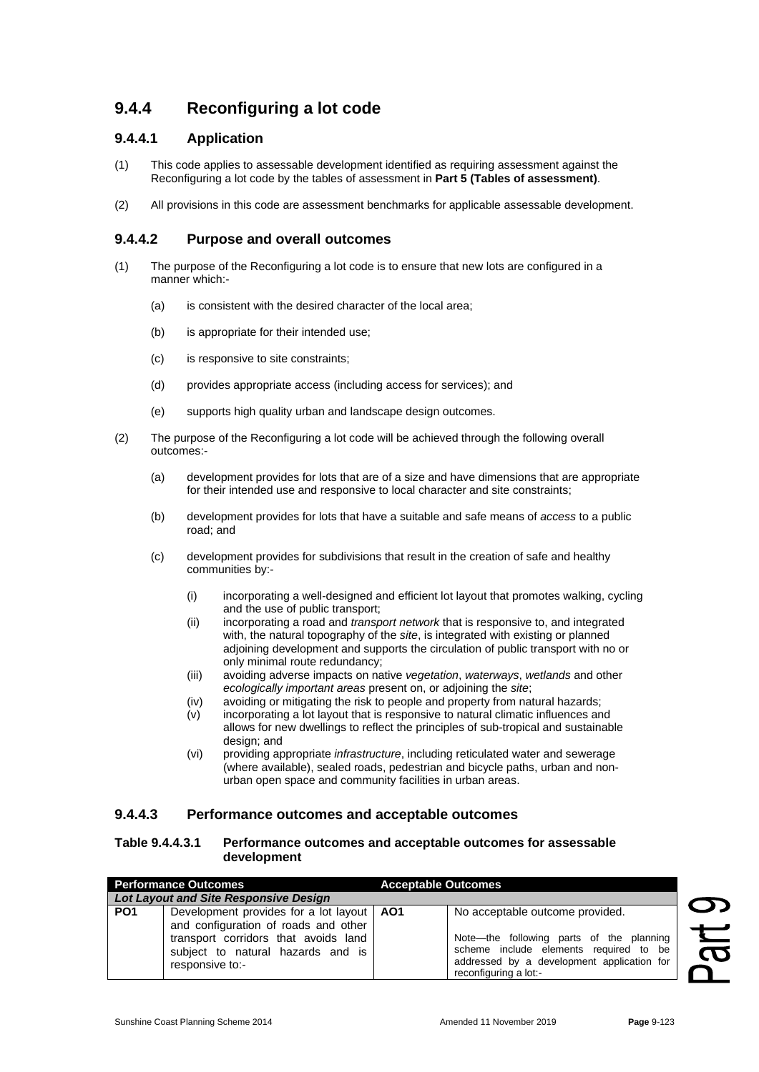# **9.4.4 Reconfiguring a lot code**

### **9.4.4.1 Application**

- (1) This code applies to assessable development identified as requiring assessment against the Reconfiguring a lot code by the tables of assessment in **Part 5 (Tables of assessment)**.
- (2) All provisions in this code are assessment benchmarks for applicable assessable development.

### **9.4.4.2 Purpose and overall outcomes**

- (1) The purpose of the Reconfiguring a lot code is to ensure that new lots are configured in a manner which:-
	- (a) is consistent with the desired character of the local area;
	- (b) is appropriate for their intended use;
	- (c) is responsive to site constraints;
	- (d) provides appropriate access (including access for services); and
	- (e) supports high quality urban and landscape design outcomes.
- (2) The purpose of the Reconfiguring a lot code will be achieved through the following overall outcomes:-
	- (a) development provides for lots that are of a size and have dimensions that are appropriate for their intended use and responsive to local character and site constraints;
	- (b) development provides for lots that have a suitable and safe means of *access* to a public road; and
	- (c) development provides for subdivisions that result in the creation of safe and healthy communities by:-
		- (i) incorporating a well-designed and efficient lot layout that promotes walking, cycling and the use of public transport;
		- (ii) incorporating a road and *transport network* that is responsive to, and integrated with, the natural topography of the *site*, is integrated with existing or planned adjoining development and supports the circulation of public transport with no or only minimal route redundancy;
		- (iii) avoiding adverse impacts on native *vegetation*, *waterways*, *wetlands* and other *ecologically important areas* present on, or adjoining the *site*;
		- (iv) avoiding or mitigating the risk to people and property from natural hazards;
		- (v) incorporating a lot layout that is responsive to natural climatic influences and allows for new dwellings to reflect the principles of sub-tropical and sustainable design; and
		- (vi) providing appropriate *infrastructure*, including reticulated water and sewerage (where available), sealed roads, pedestrian and bicycle paths, urban and nonurban open space and community facilities in urban areas.

### **9.4.4.3 Performance outcomes and acceptable outcomes**

#### **Table 9.4.4.3.1 Performance outcomes and acceptable outcomes for assessable development**

| <b>Performance Outcomes</b> |                                                                                                                                                                                     | <b>Acceptable Outcomes</b> |                                                                                                                                                                                              |                       |
|-----------------------------|-------------------------------------------------------------------------------------------------------------------------------------------------------------------------------------|----------------------------|----------------------------------------------------------------------------------------------------------------------------------------------------------------------------------------------|-----------------------|
|                             | Lot Layout and Site Responsive Design                                                                                                                                               |                            |                                                                                                                                                                                              |                       |
| PO <sub>1</sub>             | Development provides for a lot layout   AO1<br>and configuration of roads and other<br>transport corridors that avoids land<br>subject to natural hazards and is<br>responsive to:- |                            | No acceptable outcome provided.<br>Note—the following parts of the planning<br>scheme include elements required to be<br>addressed by a development application for<br>reconfiguring a lot:- | $\boldsymbol{\sigma}$ |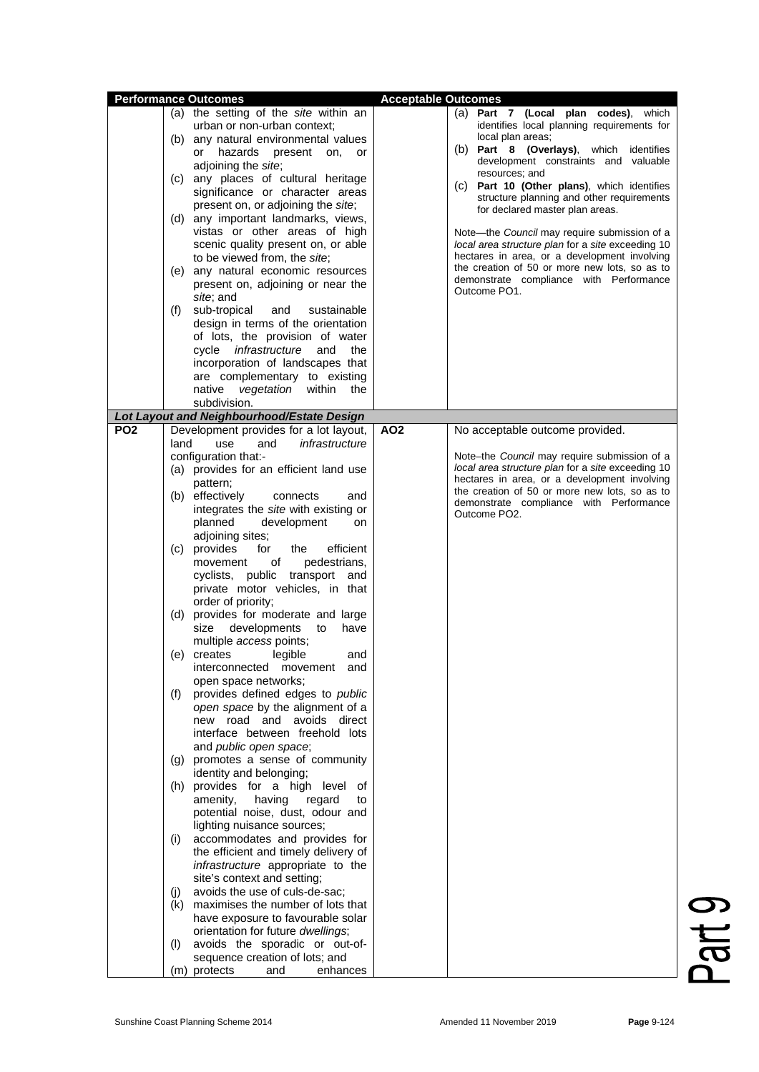| <b>Performance Outcomes</b><br>(f)<br>PO <sub>2</sub><br>land                                                                                                                                                   | (a) the setting of the site within an<br>urban or non-urban context;<br>(b) any natural environmental values<br>hazards<br>or<br>present<br>on,<br>or<br>adjoining the site;<br>(c) any places of cultural heritage<br>significance or character areas<br>present on, or adjoining the site;<br>(d) any important landmarks, views,<br>vistas or other areas of high<br>scenic quality present on, or able<br>to be viewed from, the site;<br>(e) any natural economic resources<br>present on, adjoining or near the<br>site; and<br>sub-tropical<br>and<br>sustainable<br>design in terms of the orientation<br>of lots, the provision of water<br>cycle <i>infrastructure</i><br>and<br>the<br>incorporation of landscapes that<br>are complementary to existing<br>vegetation within<br>native<br>the<br>subdivision.                                                                                                                                                                                                                                                                                                                                                                                                 | <b>Acceptable Outcomes</b> | (a) Part 7 (Local plan codes),<br>which<br>identifies local planning requirements for<br>local plan areas;<br>(b) Part 8 (Overlays), which identifies<br>development constraints and valuable<br>resources; and<br>(c) Part 10 (Other plans), which identifies<br>structure planning and other requirements<br>for declared master plan areas.<br>Note-the Council may require submission of a<br>local area structure plan for a site exceeding 10<br>hectares in area, or a development involving<br>the creation of 50 or more new lots, so as to<br>demonstrate compliance with Performance<br>Outcome PO1. |
|-----------------------------------------------------------------------------------------------------------------------------------------------------------------------------------------------------------------|---------------------------------------------------------------------------------------------------------------------------------------------------------------------------------------------------------------------------------------------------------------------------------------------------------------------------------------------------------------------------------------------------------------------------------------------------------------------------------------------------------------------------------------------------------------------------------------------------------------------------------------------------------------------------------------------------------------------------------------------------------------------------------------------------------------------------------------------------------------------------------------------------------------------------------------------------------------------------------------------------------------------------------------------------------------------------------------------------------------------------------------------------------------------------------------------------------------------------|----------------------------|-----------------------------------------------------------------------------------------------------------------------------------------------------------------------------------------------------------------------------------------------------------------------------------------------------------------------------------------------------------------------------------------------------------------------------------------------------------------------------------------------------------------------------------------------------------------------------------------------------------------|
|                                                                                                                                                                                                                 |                                                                                                                                                                                                                                                                                                                                                                                                                                                                                                                                                                                                                                                                                                                                                                                                                                                                                                                                                                                                                                                                                                                                                                                                                           |                            |                                                                                                                                                                                                                                                                                                                                                                                                                                                                                                                                                                                                                 |
|                                                                                                                                                                                                                 |                                                                                                                                                                                                                                                                                                                                                                                                                                                                                                                                                                                                                                                                                                                                                                                                                                                                                                                                                                                                                                                                                                                                                                                                                           |                            |                                                                                                                                                                                                                                                                                                                                                                                                                                                                                                                                                                                                                 |
|                                                                                                                                                                                                                 | Lot Layout and Neighbourhood/Estate Design                                                                                                                                                                                                                                                                                                                                                                                                                                                                                                                                                                                                                                                                                                                                                                                                                                                                                                                                                                                                                                                                                                                                                                                |                            |                                                                                                                                                                                                                                                                                                                                                                                                                                                                                                                                                                                                                 |
| (f)<br>(i)<br>(i)<br>(k) maximises the number of lots that<br>have exposure to favourable solar<br>orientation for future dwellings;<br>avoids the sporadic or out-of-<br>(I)<br>sequence creation of lots; and | Development provides for a lot layout,<br>and<br>infrastructure<br>use<br>configuration that:-<br>(a) provides for an efficient land use<br>pattern;<br>(b) effectively<br>connects<br>and<br>integrates the site with existing or<br>planned<br>development<br>on<br>adjoining sites;<br>(c) provides<br>efficient<br>for<br>the<br>of<br>pedestrians,<br>movement<br>cyclists, public transport and<br>private motor vehicles, in that<br>order of priority;<br>(d) provides for moderate and large<br>size developments to<br>have<br>multiple access points;<br>legible<br>(e) creates<br>and<br>interconnected movement<br>and<br>open space networks;<br>provides defined edges to public<br>open space by the alignment of a<br>new road and avoids direct<br>interface between freehold lots<br>and public open space;<br>(g) promotes a sense of community<br>identity and belonging;<br>(h) provides for a high level of<br>amenity,<br>having<br>regard<br>to<br>potential noise, dust, odour and<br>lighting nuisance sources;<br>accommodates and provides for<br>the efficient and timely delivery of<br>infrastructure appropriate to the<br>site's context and setting;<br>avoids the use of culs-de-sac; | AO <sub>2</sub>            | No acceptable outcome provided.<br>Note-the Council may require submission of a<br>local area structure plan for a site exceeding 10<br>hectares in area, or a development involving<br>the creation of 50 or more new lots, so as to<br>demonstrate compliance with Performance<br>Outcome PO2.                                                                                                                                                                                                                                                                                                                |

Part 9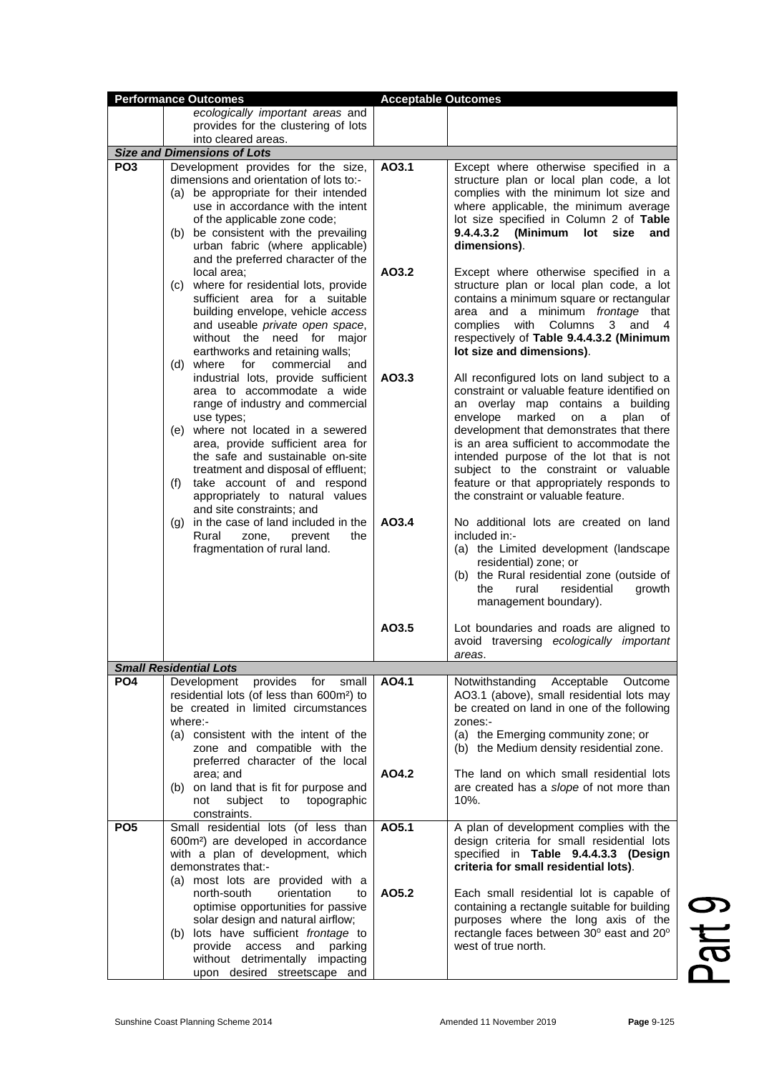|                 | <b>Performance Outcomes</b>                                                                                                                                                                                                                                                                                                                                                                                                                                                                    | <b>Acceptable Outcomes</b> |                                                                                                                                                                                                                                                                                                                                                                                                                                                                                                                                                                                                                    |
|-----------------|------------------------------------------------------------------------------------------------------------------------------------------------------------------------------------------------------------------------------------------------------------------------------------------------------------------------------------------------------------------------------------------------------------------------------------------------------------------------------------------------|----------------------------|--------------------------------------------------------------------------------------------------------------------------------------------------------------------------------------------------------------------------------------------------------------------------------------------------------------------------------------------------------------------------------------------------------------------------------------------------------------------------------------------------------------------------------------------------------------------------------------------------------------------|
|                 | ecologically important areas and                                                                                                                                                                                                                                                                                                                                                                                                                                                               |                            |                                                                                                                                                                                                                                                                                                                                                                                                                                                                                                                                                                                                                    |
|                 | provides for the clustering of lots                                                                                                                                                                                                                                                                                                                                                                                                                                                            |                            |                                                                                                                                                                                                                                                                                                                                                                                                                                                                                                                                                                                                                    |
|                 | into cleared areas.                                                                                                                                                                                                                                                                                                                                                                                                                                                                            |                            |                                                                                                                                                                                                                                                                                                                                                                                                                                                                                                                                                                                                                    |
|                 | <b>Size and Dimensions of Lots</b>                                                                                                                                                                                                                                                                                                                                                                                                                                                             |                            |                                                                                                                                                                                                                                                                                                                                                                                                                                                                                                                                                                                                                    |
| PO <sub>3</sub> | Development provides for the size,<br>dimensions and orientation of lots to:-<br>(a) be appropriate for their intended<br>use in accordance with the intent<br>of the applicable zone code;<br>(b) be consistent with the prevailing<br>urban fabric (where applicable)<br>and the preferred character of the                                                                                                                                                                                  | AO3.1                      | Except where otherwise specified in a<br>structure plan or local plan code, a lot<br>complies with the minimum lot size and<br>where applicable, the minimum average<br>lot size specified in Column 2 of Table<br>9.4.4.3.2 (Minimum<br>lot<br>size<br>and<br>dimensions).                                                                                                                                                                                                                                                                                                                                        |
|                 | local area;<br>(c) where for residential lots, provide<br>sufficient area for a suitable<br>building envelope, vehicle access<br>and useable private open space,<br>without the need for major<br>earthworks and retaining walls;<br>(d) where for<br>commercial<br>and                                                                                                                                                                                                                        | AO3.2                      | Except where otherwise specified in a<br>structure plan or local plan code, a lot<br>contains a minimum square or rectangular<br>area and a minimum frontage that<br>complies with Columns 3 and 4<br>respectively of Table 9.4.4.3.2 (Minimum<br>lot size and dimensions).                                                                                                                                                                                                                                                                                                                                        |
|                 | industrial lots, provide sufficient<br>area to accommodate a wide<br>range of industry and commercial<br>use types;<br>(e) where not located in a sewered<br>area, provide sufficient area for<br>the safe and sustainable on-site<br>treatment and disposal of effluent;<br>take account of and respond<br>(f)<br>appropriately to natural values<br>and site constraints; and<br>(g) in the case of land included in the<br>Rural<br>zone,<br>prevent<br>the<br>fragmentation of rural land. | AO3.3<br>AO3.4             | All reconfigured lots on land subject to a<br>constraint or valuable feature identified on<br>an overlay map contains a building<br>envelope marked on a<br>plan<br>οf<br>development that demonstrates that there<br>is an area sufficient to accommodate the<br>intended purpose of the lot that is not<br>subject to the constraint or valuable<br>feature or that appropriately responds to<br>the constraint or valuable feature.<br>No additional lots are created on land<br>included in:-<br>(a) the Limited development (landscape<br>residential) zone; or<br>(b) the Rural residential zone (outside of |
|                 |                                                                                                                                                                                                                                                                                                                                                                                                                                                                                                | AO3.5                      | rural<br>residential<br>growth<br>the<br>management boundary).<br>Lot boundaries and roads are aligned to<br>avoid traversing ecologically important<br>areas.                                                                                                                                                                                                                                                                                                                                                                                                                                                     |
|                 | <b>Small Residential Lots</b>                                                                                                                                                                                                                                                                                                                                                                                                                                                                  |                            |                                                                                                                                                                                                                                                                                                                                                                                                                                                                                                                                                                                                                    |
| PO <sub>4</sub> | Development<br>provides<br>for<br>small<br>residential lots (of less than 600m <sup>2</sup> ) to<br>be created in limited circumstances<br>where:<br>(a) consistent with the intent of the<br>zone and compatible with the<br>preferred character of the local<br>area; and<br>(b) on land that is fit for purpose and<br>subject<br>topographic<br>not<br>to<br>constraints.                                                                                                                  | AO4.1<br>AO4.2             | Notwithstanding<br>Acceptable<br>Outcome<br>AO3.1 (above), small residential lots may<br>be created on land in one of the following<br>zones:-<br>(a) the Emerging community zone; or<br>(b) the Medium density residential zone.<br>The land on which small residential lots<br>are created has a slope of not more than<br>$10%$ .                                                                                                                                                                                                                                                                               |
| PO <sub>5</sub> | Small residential lots (of less than<br>600m <sup>2</sup> ) are developed in accordance<br>with a plan of development, which<br>demonstrates that:-<br>(a) most lots are provided with a<br>north-south<br>orientation<br>to<br>optimise opportunities for passive<br>solar design and natural airflow;<br>(b) lots have sufficient <i>frontage</i> to<br>provide<br>access<br>and<br>parking<br>without detrimentally impacting<br>upon desired streetscape and                               | A05.1<br>AO5.2             | A plan of development complies with the<br>design criteria for small residential lots<br>specified in Table 9.4.4.3.3 (Design<br>criteria for small residential lots).<br>Each small residential lot is capable of<br>containing a rectangle suitable for building<br>purposes where the long axis of the<br>rectangle faces between 30° east and 20°<br>west of true north.                                                                                                                                                                                                                                       |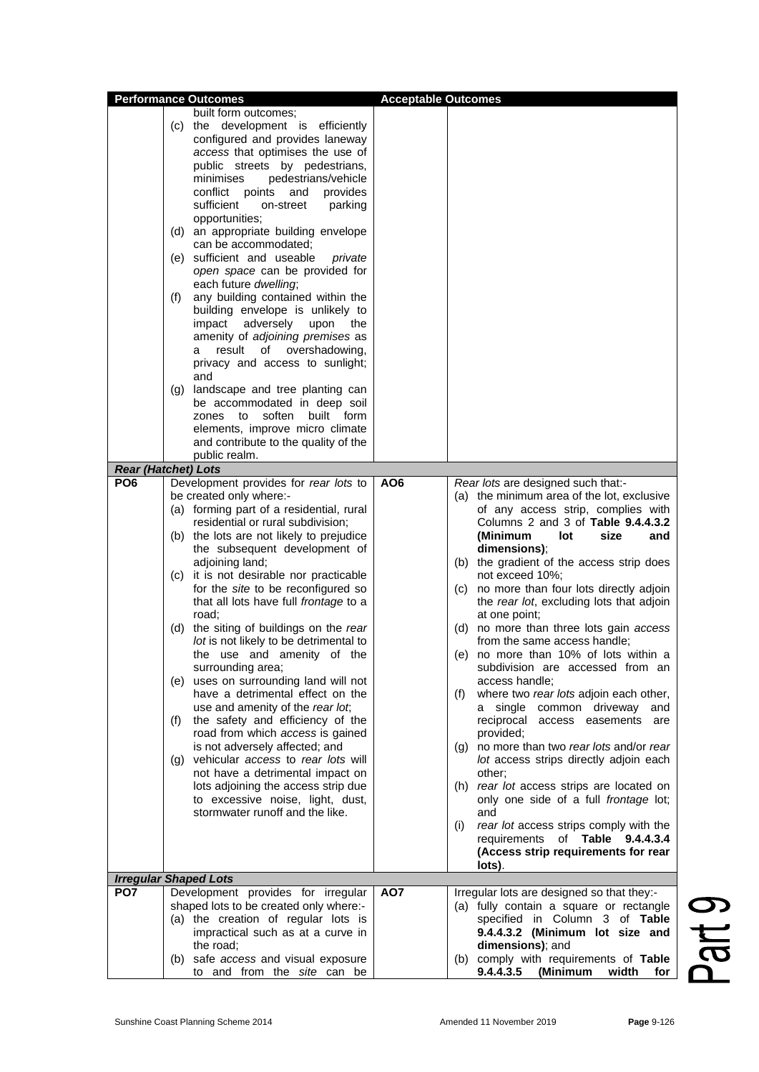|                 | <b>Performance Outcomes</b>                                        | <b>Acceptable Outcomes</b> |                                                                                |
|-----------------|--------------------------------------------------------------------|----------------------------|--------------------------------------------------------------------------------|
|                 | built form outcomes;                                               |                            |                                                                                |
|                 | (c) the development is efficiently                                 |                            |                                                                                |
|                 | configured and provides laneway                                    |                            |                                                                                |
|                 | access that optimises the use of                                   |                            |                                                                                |
|                 | public streets by pedestrians,                                     |                            |                                                                                |
|                 | minimises<br>pedestrians/vehicle                                   |                            |                                                                                |
|                 | conflict points and<br>provides                                    |                            |                                                                                |
|                 | sufficient<br>on-street<br>parking                                 |                            |                                                                                |
|                 | opportunities;                                                     |                            |                                                                                |
|                 | (d) an appropriate building envelope                               |                            |                                                                                |
|                 | can be accommodated;                                               |                            |                                                                                |
|                 | (e) sufficient and useable<br>private                              |                            |                                                                                |
|                 | open space can be provided for                                     |                            |                                                                                |
|                 | each future dwelling;                                              |                            |                                                                                |
|                 | any building contained within the<br>(f)                           |                            |                                                                                |
|                 | building envelope is unlikely to                                   |                            |                                                                                |
|                 | adversely upon<br>impact<br>the                                    |                            |                                                                                |
|                 | amenity of adjoining premises as<br>of overshadowing,<br>result    |                            |                                                                                |
|                 | а<br>privacy and access to sunlight;                               |                            |                                                                                |
|                 | and                                                                |                            |                                                                                |
|                 | (g) landscape and tree planting can                                |                            |                                                                                |
|                 | be accommodated in deep soil                                       |                            |                                                                                |
|                 | zones to soften built form                                         |                            |                                                                                |
|                 | elements, improve micro climate                                    |                            |                                                                                |
|                 | and contribute to the quality of the                               |                            |                                                                                |
|                 | public realm.                                                      |                            |                                                                                |
|                 | <b>Rear (Hatchet) Lots</b>                                         |                            |                                                                                |
| PO <sub>6</sub> | Development provides for rear lots to                              | AO <sub>6</sub>            | Rear lots are designed such that:-                                             |
|                 | be created only where:-                                            |                            | (a) the minimum area of the lot, exclusive                                     |
|                 | (a) forming part of a residential, rural                           |                            | of any access strip, complies with                                             |
|                 | residential or rural subdivision;                                  |                            | Columns 2 and 3 of Table 9.4.4.3.2                                             |
|                 | (b) the lots are not likely to prejudice                           |                            | (Minimum<br>lot<br>size<br>and                                                 |
|                 | the subsequent development of                                      |                            | dimensions);                                                                   |
|                 | adjoining land;                                                    |                            | (b) the gradient of the access strip does                                      |
|                 | (c) it is not desirable nor practicable                            |                            | not exceed 10%;                                                                |
|                 | for the site to be reconfigured so                                 |                            | no more than four lots directly adjoin<br>(C)                                  |
|                 | that all lots have full frontage to a                              |                            | the rear lot, excluding lots that adjoin                                       |
|                 | road:                                                              |                            | at one point;                                                                  |
|                 | (d) the siting of buildings on the rear                            |                            | no more than three lots gain access<br>(d)                                     |
|                 | lot is not likely to be detrimental to                             |                            | from the same access handle;                                                   |
|                 | the use and amenity of the                                         |                            | no more than 10% of lots within a<br>(e)                                       |
|                 | surrounding area;<br>(e) uses on surrounding land will not         |                            | subdivision are accessed from an<br>access handle;                             |
|                 | have a detrimental effect on the                                   |                            | where two rear lots adjoin each other,<br>(f)                                  |
|                 | use and amenity of the rear lot,                                   |                            | common driveway<br>a single<br>and                                             |
|                 | the safety and efficiency of the<br>(f)                            |                            | reciprocal<br>access easements<br>are                                          |
|                 | road from which access is gained                                   |                            | provided;                                                                      |
|                 | is not adversely affected; and                                     |                            | no more than two rear lots and/or rear<br>(g)                                  |
|                 | (g) vehicular access to rear lots will                             |                            | lot access strips directly adjoin each                                         |
|                 | not have a detrimental impact on                                   |                            | other;                                                                         |
|                 | lots adjoining the access strip due                                |                            | (h) rear lot access strips are located on                                      |
|                 | to excessive noise, light, dust,                                   |                            | only one side of a full frontage lot;                                          |
|                 | stormwater runoff and the like.                                    |                            | and                                                                            |
|                 |                                                                    |                            | rear lot access strips comply with the<br>(i)                                  |
|                 |                                                                    |                            | requirements of Table 9.4.4.3.4                                                |
|                 |                                                                    |                            | (Access strip requirements for rear                                            |
|                 |                                                                    |                            | lots).                                                                         |
|                 | <b>Irregular Shaped Lots</b>                                       |                            |                                                                                |
| PO <sub>7</sub> | Development provides for irregular                                 | AO7                        | Irregular lots are designed so that they:-                                     |
|                 | shaped lots to be created only where:-                             |                            | (a) fully contain a square or rectangle                                        |
|                 | (a) the creation of regular lots is                                |                            | specified in Column 3 of Table                                                 |
|                 | impractical such as at a curve in                                  |                            | 9.4.4.3.2 (Minimum lot size and                                                |
|                 | the road;                                                          |                            | dimensions); and                                                               |
|                 | (b) safe access and visual exposure<br>to and from the site can be |                            | (b) comply with requirements of Table<br>9.4.4.3.5<br>(Minimum<br>width<br>for |
|                 |                                                                    |                            |                                                                                |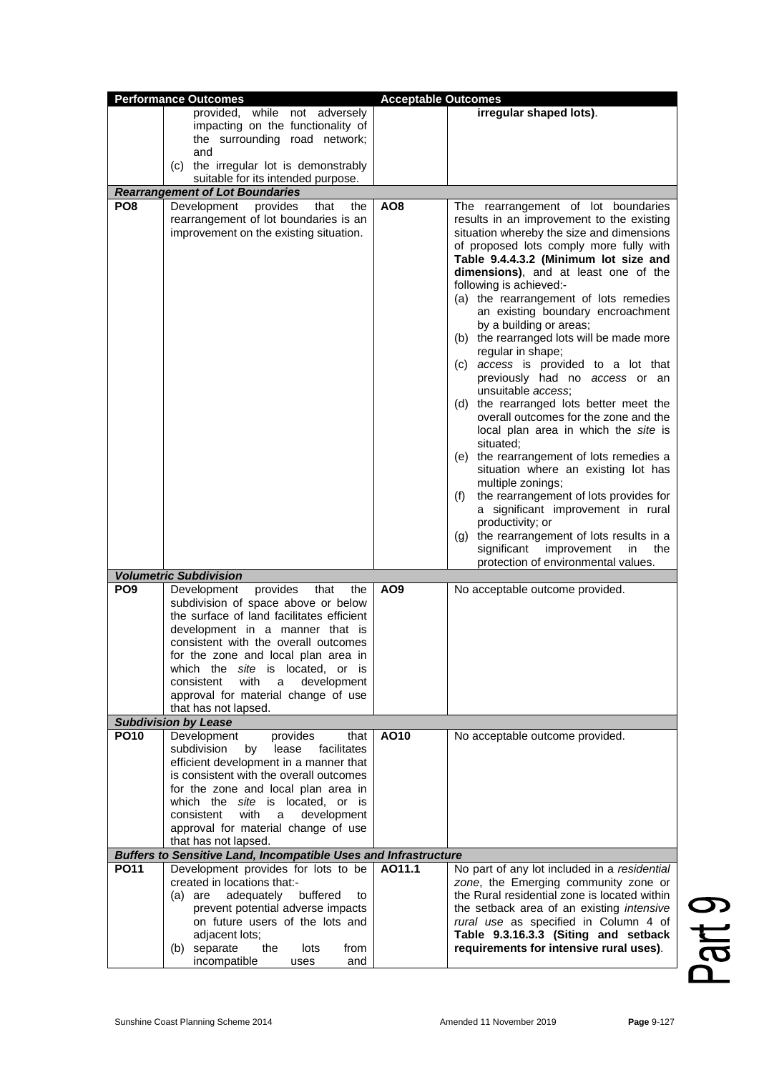|                 | <b>Performance Outcomes</b>                                                     | <b>Acceptable Outcomes</b> |                                                                                      |
|-----------------|---------------------------------------------------------------------------------|----------------------------|--------------------------------------------------------------------------------------|
|                 | provided, while not adversely                                                   |                            | irregular shaped lots).                                                              |
|                 | impacting on the functionality of                                               |                            |                                                                                      |
|                 | the surrounding road network;                                                   |                            |                                                                                      |
|                 | and                                                                             |                            |                                                                                      |
|                 | (c) the irregular lot is demonstrably                                           |                            |                                                                                      |
|                 | suitable for its intended purpose.                                              |                            |                                                                                      |
| PO <sub>8</sub> | <b>Rearrangement of Lot Boundaries</b>                                          |                            |                                                                                      |
|                 | Development<br>provides<br>that<br>the<br>rearrangement of lot boundaries is an | AO <sub>8</sub>            | The rearrangement of lot boundaries<br>results in an improvement to the existing     |
|                 | improvement on the existing situation.                                          |                            | situation whereby the size and dimensions                                            |
|                 |                                                                                 |                            | of proposed lots comply more fully with                                              |
|                 |                                                                                 |                            | Table 9.4.4.3.2 (Minimum lot size and                                                |
|                 |                                                                                 |                            | dimensions), and at least one of the                                                 |
|                 |                                                                                 |                            | following is achieved:-                                                              |
|                 |                                                                                 |                            | (a) the rearrangement of lots remedies                                               |
|                 |                                                                                 |                            | an existing boundary encroachment                                                    |
|                 |                                                                                 |                            | by a building or areas;                                                              |
|                 |                                                                                 |                            | (b) the rearranged lots will be made more<br>regular in shape;                       |
|                 |                                                                                 |                            | (c) access is provided to a lot that                                                 |
|                 |                                                                                 |                            | previously had no access or an                                                       |
|                 |                                                                                 |                            | unsuitable access:                                                                   |
|                 |                                                                                 |                            | (d) the rearranged lots better meet the                                              |
|                 |                                                                                 |                            | overall outcomes for the zone and the                                                |
|                 |                                                                                 |                            | local plan area in which the site is                                                 |
|                 |                                                                                 |                            | situated;<br>(e) the rearrangement of lots remedies a                                |
|                 |                                                                                 |                            | situation where an existing lot has                                                  |
|                 |                                                                                 |                            | multiple zonings;                                                                    |
|                 |                                                                                 |                            | the rearrangement of lots provides for<br>(f)                                        |
|                 |                                                                                 |                            | a significant improvement in rural                                                   |
|                 |                                                                                 |                            | productivity; or                                                                     |
|                 |                                                                                 |                            | (g) the rearrangement of lots results in a                                           |
|                 |                                                                                 |                            | significant<br>improvement<br>in<br>the<br>protection of environmental values.       |
|                 | <b>Volumetric Subdivision</b>                                                   |                            |                                                                                      |
| PO <sub>9</sub> | provides<br>Development<br>that<br>the                                          | AO <sub>9</sub>            | No acceptable outcome provided.                                                      |
|                 | subdivision of space above or below                                             |                            |                                                                                      |
|                 | the surface of land facilitates efficient                                       |                            |                                                                                      |
|                 | development in a manner that is                                                 |                            |                                                                                      |
|                 | consistent with the overall outcomes                                            |                            |                                                                                      |
|                 | for the zone and local plan area in                                             |                            |                                                                                      |
|                 | which the site is located, or is<br>with<br>development<br>consistent<br>a      |                            |                                                                                      |
|                 | approval for material change of use                                             |                            |                                                                                      |
|                 | that has not lapsed.                                                            |                            |                                                                                      |
|                 | <b>Subdivision by Lease</b>                                                     |                            |                                                                                      |
| <b>PO10</b>     | Development<br>provides<br>that                                                 | AO10                       | No acceptable outcome provided.                                                      |
|                 | subdivision<br>lease<br>facilitates<br>by                                       |                            |                                                                                      |
|                 | efficient development in a manner that                                          |                            |                                                                                      |
|                 | is consistent with the overall outcomes<br>for the zone and local plan area in  |                            |                                                                                      |
|                 | which the <i>site</i> is located, or is                                         |                            |                                                                                      |
|                 | consistent<br>with<br>development<br>a                                          |                            |                                                                                      |
|                 | approval for material change of use                                             |                            |                                                                                      |
|                 | that has not lapsed.                                                            |                            |                                                                                      |
|                 | <b>Buffers to Sensitive Land, Incompatible Uses and Infrastructure</b>          |                            |                                                                                      |
| <b>PO11</b>     | Development provides for lots to be                                             | AO11.1                     | No part of any lot included in a residential                                         |
|                 | created in locations that:-<br>$(a)$ are<br>adequately<br>buffered<br>to        |                            | zone, the Emerging community zone or<br>the Rural residential zone is located within |
|                 | prevent potential adverse impacts                                               |                            | the setback area of an existing intensive                                            |
|                 | on future users of the lots and                                                 |                            | rural use as specified in Column 4 of                                                |
|                 | adjacent lots;                                                                  |                            | Table 9.3.16.3.3 (Siting and setback                                                 |
|                 | (b) separate<br>the<br>lots<br>from                                             |                            | requirements for intensive rural uses).                                              |
|                 | incompatible<br>and<br>uses                                                     |                            |                                                                                      |

Part 9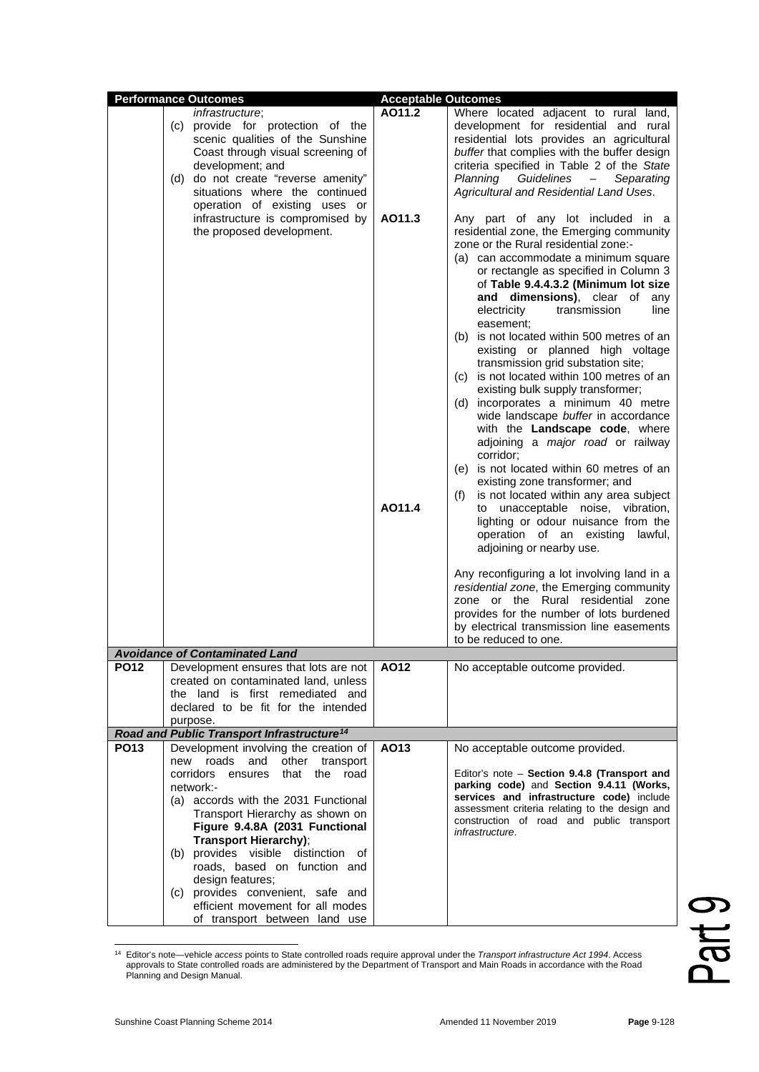|             | <b>Performance Outcomes</b>                                                    | <b>Acceptable Outcomes</b> |                                                                                  |
|-------------|--------------------------------------------------------------------------------|----------------------------|----------------------------------------------------------------------------------|
|             | <i>infrastructure;</i>                                                         | AO11.2                     | Where located adjacent to rural land,                                            |
|             | (c) provide for protection of the                                              |                            | development for residential and rural                                            |
|             | scenic qualities of the Sunshine                                               |                            | residential lots provides an agricultural                                        |
|             | Coast through visual screening of                                              |                            | buffer that complies with the buffer design                                      |
|             | development; and                                                               |                            | criteria specified in Table 2 of the State                                       |
|             | (d) do not create "reverse amenity"                                            |                            | Guidelines<br>Planning<br>$ \,$<br>Separating                                    |
|             | situations where the continued                                                 |                            | Agricultural and Residential Land Uses.                                          |
|             | operation of existing uses or<br>infrastructure is compromised by              | AO11.3                     | Any part of any lot included in a                                                |
|             | the proposed development.                                                      |                            | residential zone, the Emerging community                                         |
|             |                                                                                |                            | zone or the Rural residential zone:-                                             |
|             |                                                                                |                            | (a) can accommodate a minimum square                                             |
|             |                                                                                |                            | or rectangle as specified in Column 3                                            |
|             |                                                                                |                            | of Table 9.4.4.3.2 (Minimum lot size                                             |
|             |                                                                                |                            | and dimensions), clear of<br>any                                                 |
|             |                                                                                |                            | electricity<br>transmission<br>line                                              |
|             |                                                                                |                            | easement:                                                                        |
|             |                                                                                |                            | (b) is not located within 500 metres of an                                       |
|             |                                                                                |                            | existing or planned high voltage                                                 |
|             |                                                                                |                            | transmission grid substation site;<br>(c) is not located within 100 metres of an |
|             |                                                                                |                            | existing bulk supply transformer;                                                |
|             |                                                                                |                            | (d) incorporates a minimum 40 metre                                              |
|             |                                                                                |                            | wide landscape buffer in accordance                                              |
|             |                                                                                |                            | with the Landscape code, where                                                   |
|             |                                                                                |                            | adjoining a major road or railway                                                |
|             |                                                                                |                            | corridor;                                                                        |
|             |                                                                                |                            | (e) is not located within 60 metres of an                                        |
|             |                                                                                |                            | existing zone transformer; and                                                   |
|             |                                                                                |                            | is not located within any area subject<br>(f)                                    |
|             |                                                                                | AO11.4                     | to unacceptable noise, vibration,                                                |
|             |                                                                                |                            | lighting or odour nuisance from the<br>operation of an existing lawful,          |
|             |                                                                                |                            | adjoining or nearby use.                                                         |
|             |                                                                                |                            |                                                                                  |
|             |                                                                                |                            | Any reconfiguring a lot involving land in a                                      |
|             |                                                                                |                            | residential zone, the Emerging community                                         |
|             |                                                                                |                            | zone or the Rural residential zone                                               |
|             |                                                                                |                            | provides for the number of lots burdened                                         |
|             |                                                                                |                            | by electrical transmission line easements                                        |
|             |                                                                                |                            | to be reduced to one.                                                            |
| <b>PO12</b> | <b>Avoidance of Contaminated Land</b><br>Development ensures that lots are not | AO12                       | No acceptable outcome provided.                                                  |
|             | created on contaminated land, unless                                           |                            |                                                                                  |
|             | the land is first remediated and                                               |                            |                                                                                  |
|             | declared to be fit for the intended                                            |                            |                                                                                  |
|             | purpose.                                                                       |                            |                                                                                  |
|             | Road and Public Transport Infrastructure <sup>14</sup>                         |                            |                                                                                  |
| <b>PO13</b> | Development involving the creation of                                          | AO13                       | No acceptable outcome provided.                                                  |
|             | roads<br>and<br>other<br>transport<br>new<br>corridors<br>that the<br>road     |                            | Editor's note - Section 9.4.8 (Transport and                                     |
|             | ensures<br>network:-                                                           |                            | parking code) and Section 9.4.11 (Works,                                         |
|             | (a) accords with the 2031 Functional                                           |                            | services and infrastructure code) include                                        |
|             | Transport Hierarchy as shown on                                                |                            | assessment criteria relating to the design and                                   |
|             | Figure 9.4.8A (2031 Functional                                                 |                            | construction of road and public transport<br><i>infrastructure.</i>              |
|             | Transport Hierarchy);                                                          |                            |                                                                                  |
|             | (b) provides visible distinction of                                            |                            |                                                                                  |
|             | roads, based on function and                                                   |                            |                                                                                  |
|             | design features;                                                               |                            |                                                                                  |
|             | (c) provides convenient, safe and                                              |                            |                                                                                  |
|             | efficient movement for all modes<br>of transport between land use              |                            |                                                                                  |
|             |                                                                                |                            |                                                                                  |

Part 9

<span id="page-5-0"></span><sup>&</sup>lt;sup>14</sup> Editor's note—vehicle access points to State controlled roads require approval under the Transport infrastructure Act 1994. Access<br>approvals to State controlled roads are administered by the Department of Transport an Planning and Design Manual.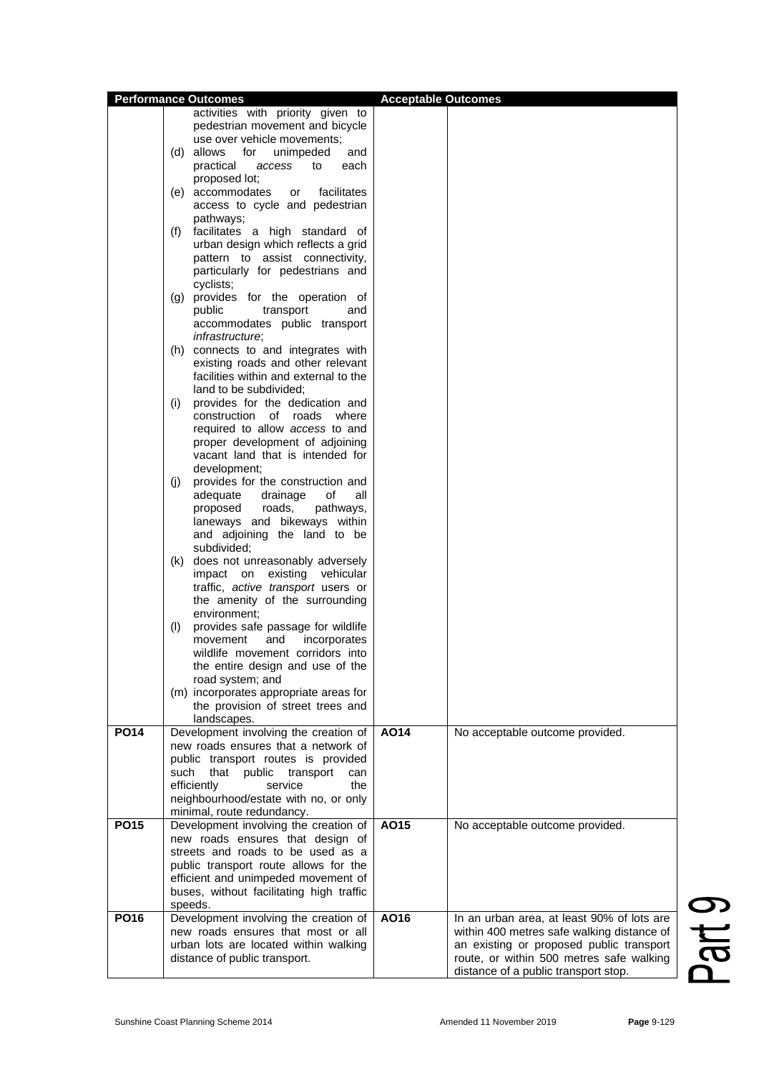|             |      | <b>Performance Outcomes</b>              | <b>Acceptable Outcomes</b> |                                            |
|-------------|------|------------------------------------------|----------------------------|--------------------------------------------|
|             |      | activities with priority given to        |                            |                                            |
|             |      | pedestrian movement and bicycle          |                            |                                            |
|             |      | use over vehicle movements;              |                            |                                            |
|             |      | (d) allows<br>for<br>unimpeded<br>and    |                            |                                            |
|             |      | practical<br>each<br>access<br>to        |                            |                                            |
|             |      | proposed lot;                            |                            |                                            |
|             |      | facilitates                              |                            |                                            |
|             |      | (e) accommodates<br>or                   |                            |                                            |
|             |      | access to cycle and pedestrian           |                            |                                            |
|             |      | pathways;                                |                            |                                            |
|             | (f)  | facilitates a high standard of           |                            |                                            |
|             |      | urban design which reflects a grid       |                            |                                            |
|             |      | pattern to assist connectivity,          |                            |                                            |
|             |      | particularly for pedestrians and         |                            |                                            |
|             |      | cyclists;                                |                            |                                            |
|             |      | (g) provides for the operation of        |                            |                                            |
|             |      | public<br>transport<br>and               |                            |                                            |
|             |      | accommodates public transport            |                            |                                            |
|             |      | <i>infrastructure</i> ;                  |                            |                                            |
|             |      | (h) connects to and integrates with      |                            |                                            |
|             |      | existing roads and other relevant        |                            |                                            |
|             |      | facilities within and external to the    |                            |                                            |
|             |      | land to be subdivided;                   |                            |                                            |
|             | (i)  | provides for the dedication and          |                            |                                            |
|             |      | construction of roads where              |                            |                                            |
|             |      | required to allow access to and          |                            |                                            |
|             |      | proper development of adjoining          |                            |                                            |
|             |      | vacant land that is intended for         |                            |                                            |
|             |      | development;                             |                            |                                            |
|             | (i)  | provides for the construction and        |                            |                                            |
|             |      | adequate<br>drainage<br>of<br>all        |                            |                                            |
|             |      | proposed<br>roads,<br>pathways,          |                            |                                            |
|             |      | laneways and bikeways within             |                            |                                            |
|             |      | and adjoining the land to be             |                            |                                            |
|             |      | subdivided;                              |                            |                                            |
|             |      |                                          |                            |                                            |
|             |      | (k) does not unreasonably adversely      |                            |                                            |
|             |      | impact on existing vehicular             |                            |                                            |
|             |      | traffic, active transport users or       |                            |                                            |
|             |      | the amenity of the surrounding           |                            |                                            |
|             |      | environment:                             |                            |                                            |
|             | (1)  | provides safe passage for wildlife       |                            |                                            |
|             |      | movement<br>and<br>incorporates          |                            |                                            |
|             |      | wildlife movement corridors into         |                            |                                            |
|             |      | the entire design and use of the         |                            |                                            |
|             |      | road system; and                         |                            |                                            |
|             |      | (m) incorporates appropriate areas for   |                            |                                            |
|             |      | the provision of street trees and        |                            |                                            |
|             |      | landscapes.                              |                            |                                            |
| <b>PO14</b> |      | Development involving the creation of    | AO14                       | No acceptable outcome provided.            |
|             |      | new roads ensures that a network of      |                            |                                            |
|             |      | public transport routes is provided      |                            |                                            |
|             | such | that<br>public<br>transport<br>can       |                            |                                            |
|             |      | the<br>efficiently<br>service            |                            |                                            |
|             |      | neighbourhood/estate with no, or only    |                            |                                            |
|             |      | minimal, route redundancy.               |                            |                                            |
| <b>PO15</b> |      | Development involving the creation of    | AO15                       | No acceptable outcome provided.            |
|             |      | new roads ensures that design of         |                            |                                            |
|             |      | streets and roads to be used as a        |                            |                                            |
|             |      | public transport route allows for the    |                            |                                            |
|             |      | efficient and unimpeded movement of      |                            |                                            |
|             |      | buses, without facilitating high traffic |                            |                                            |
|             |      | speeds.                                  |                            |                                            |
| <b>PO16</b> |      | Development involving the creation of    | AO16                       | In an urban area, at least 90% of lots are |
|             |      | new roads ensures that most or all       |                            | within 400 metres safe walking distance of |
|             |      | urban lots are located within walking    |                            | an existing or proposed public transport   |
|             |      | distance of public transport.            |                            | route, or within 500 metres safe walking   |
|             |      |                                          |                            | distance of a public transport stop.       |
|             |      |                                          |                            |                                            |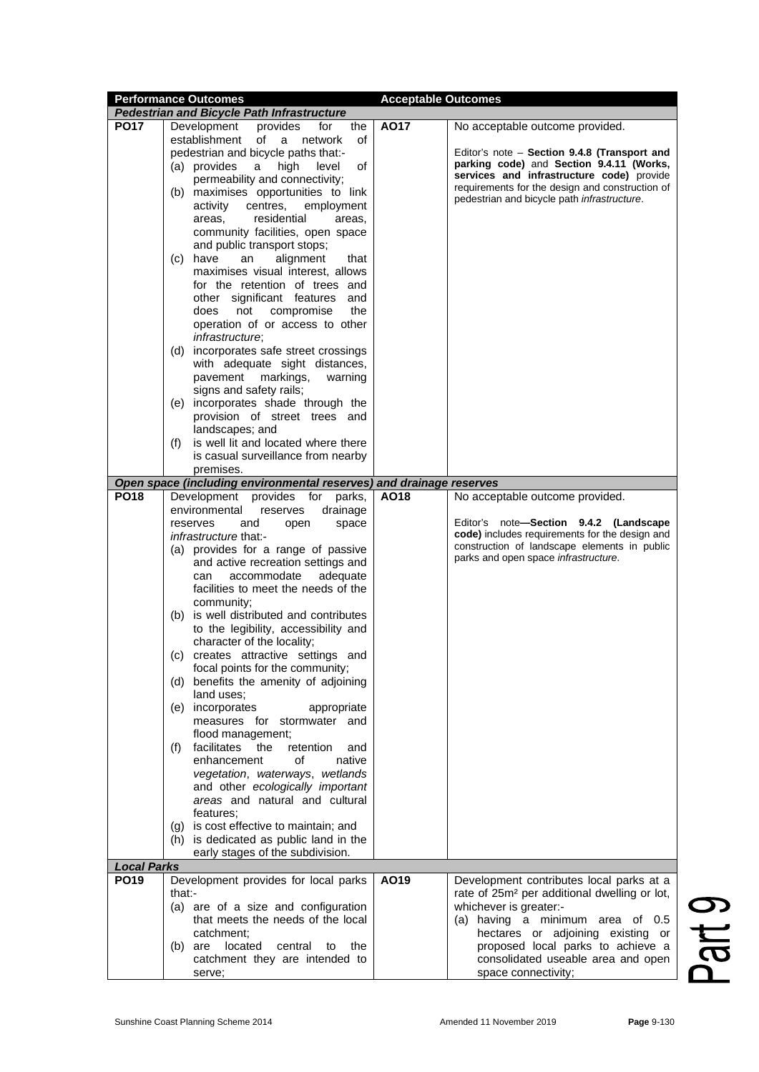|                    | <b>Performance Outcomes</b>                                         | <b>Acceptable Outcomes</b> |                                                                                          |  |  |
|--------------------|---------------------------------------------------------------------|----------------------------|------------------------------------------------------------------------------------------|--|--|
|                    | <b>Pedestrian and Bicycle Path Infrastructure</b>                   |                            |                                                                                          |  |  |
| <b>PO17</b>        | Development<br>provides<br>the<br>for                               | A017                       | No acceptable outcome provided.                                                          |  |  |
|                    | establishment<br>of<br>a<br>network<br>οf                           |                            |                                                                                          |  |  |
|                    |                                                                     |                            |                                                                                          |  |  |
|                    | pedestrian and bicycle paths that:-                                 |                            | Editor's note – Section 9.4.8 (Transport and<br>parking code) and Section 9.4.11 (Works, |  |  |
|                    | (a) provides<br>a<br>level<br>of<br>high                            |                            |                                                                                          |  |  |
|                    | permeability and connectivity;                                      |                            | services and infrastructure code) provide                                                |  |  |
|                    | maximises opportunities to link<br>(b)                              |                            | requirements for the design and construction of                                          |  |  |
|                    | centres,<br>activity<br>employment                                  |                            | pedestrian and bicycle path infrastructure.                                              |  |  |
|                    | residential<br>areas,<br>areas,                                     |                            |                                                                                          |  |  |
|                    | community facilities, open space                                    |                            |                                                                                          |  |  |
|                    |                                                                     |                            |                                                                                          |  |  |
|                    | and public transport stops;                                         |                            |                                                                                          |  |  |
|                    | alignment<br>(c) have<br>an<br>that                                 |                            |                                                                                          |  |  |
|                    | maximises visual interest, allows                                   |                            |                                                                                          |  |  |
|                    | for the retention of trees and                                      |                            |                                                                                          |  |  |
|                    | other significant features and                                      |                            |                                                                                          |  |  |
|                    | the<br>does<br>not<br>compromise                                    |                            |                                                                                          |  |  |
|                    | operation of or access to other                                     |                            |                                                                                          |  |  |
|                    | infrastructure;                                                     |                            |                                                                                          |  |  |
|                    | (d) incorporates safe street crossings                              |                            |                                                                                          |  |  |
|                    |                                                                     |                            |                                                                                          |  |  |
|                    | with adequate sight distances,                                      |                            |                                                                                          |  |  |
|                    | markings,<br>pavement<br>warning                                    |                            |                                                                                          |  |  |
|                    | signs and safety rails;                                             |                            |                                                                                          |  |  |
|                    | (e) incorporates shade through the                                  |                            |                                                                                          |  |  |
|                    | provision of street trees and                                       |                            |                                                                                          |  |  |
|                    | landscapes; and                                                     |                            |                                                                                          |  |  |
|                    | is well lit and located where there<br>(f)                          |                            |                                                                                          |  |  |
|                    | is casual surveillance from nearby                                  |                            |                                                                                          |  |  |
|                    |                                                                     |                            |                                                                                          |  |  |
|                    | premises.                                                           |                            |                                                                                          |  |  |
|                    | Open space (including environmental reserves) and drainage reserves |                            |                                                                                          |  |  |
| <b>PO18</b>        | Development<br>provides<br>parks,<br>for                            | AO18                       | No acceptable outcome provided.                                                          |  |  |
|                    | environmental<br>drainage<br>reserves                               |                            |                                                                                          |  |  |
|                    | reserves<br>and<br>open<br>space                                    |                            | Editor's note-Section 9.4.2 (Landscape                                                   |  |  |
|                    | infrastructure that:-                                               |                            | code) includes requirements for the design and                                           |  |  |
|                    |                                                                     |                            | construction of landscape elements in public                                             |  |  |
|                    | (a) provides for a range of passive                                 |                            | parks and open space infrastructure.                                                     |  |  |
|                    | and active recreation settings and                                  |                            |                                                                                          |  |  |
|                    | adequate<br>accommodate<br>can                                      |                            |                                                                                          |  |  |
|                    | facilities to meet the needs of the                                 |                            |                                                                                          |  |  |
|                    | community;                                                          |                            |                                                                                          |  |  |
|                    | (b) is well distributed and contributes                             |                            |                                                                                          |  |  |
|                    | to the legibility, accessibility and                                |                            |                                                                                          |  |  |
|                    | character of the locality;                                          |                            |                                                                                          |  |  |
|                    | (c) creates attractive settings and                                 |                            |                                                                                          |  |  |
|                    |                                                                     |                            |                                                                                          |  |  |
|                    | focal points for the community;                                     |                            |                                                                                          |  |  |
|                    | benefits the amenity of adjoining<br>(d)                            |                            |                                                                                          |  |  |
|                    | land uses;                                                          |                            |                                                                                          |  |  |
|                    | (e) incorporates<br>appropriate                                     |                            |                                                                                          |  |  |
|                    | measures for stormwater and                                         |                            |                                                                                          |  |  |
|                    | flood management;                                                   |                            |                                                                                          |  |  |
|                    | facilitates the<br>retention<br>(f)<br>and                          |                            |                                                                                          |  |  |
|                    | enhancement<br>of<br>native                                         |                            |                                                                                          |  |  |
|                    | vegetation, waterways, wetlands                                     |                            |                                                                                          |  |  |
|                    |                                                                     |                            |                                                                                          |  |  |
|                    | and other ecologically important                                    |                            |                                                                                          |  |  |
|                    | areas and natural and cultural                                      |                            |                                                                                          |  |  |
|                    | features:                                                           |                            |                                                                                          |  |  |
|                    | is cost effective to maintain; and<br>(g)                           |                            |                                                                                          |  |  |
|                    | (h) is dedicated as public land in the                              |                            |                                                                                          |  |  |
|                    | early stages of the subdivision.                                    |                            |                                                                                          |  |  |
| <b>Local Parks</b> |                                                                     |                            |                                                                                          |  |  |
| <b>PO19</b>        | Development provides for local parks                                | AO19                       | Development contributes local parks at a                                                 |  |  |
|                    | that:-                                                              |                            |                                                                                          |  |  |
|                    |                                                                     |                            | rate of 25m <sup>2</sup> per additional dwelling or lot,                                 |  |  |
|                    | (a) are of a size and configuration                                 |                            | whichever is greater:-                                                                   |  |  |
|                    | that meets the needs of the local                                   |                            | (a) having a minimum area of $0.5$                                                       |  |  |
|                    | catchment:                                                          |                            | hectares or adjoining existing or                                                        |  |  |
|                    | located<br>the<br>(b) are<br>central<br>to                          |                            | proposed local parks to achieve a                                                        |  |  |
|                    | catchment they are intended to                                      |                            | consolidated useable area and open                                                       |  |  |
|                    | serve;                                                              |                            | space connectivity;                                                                      |  |  |
|                    |                                                                     |                            |                                                                                          |  |  |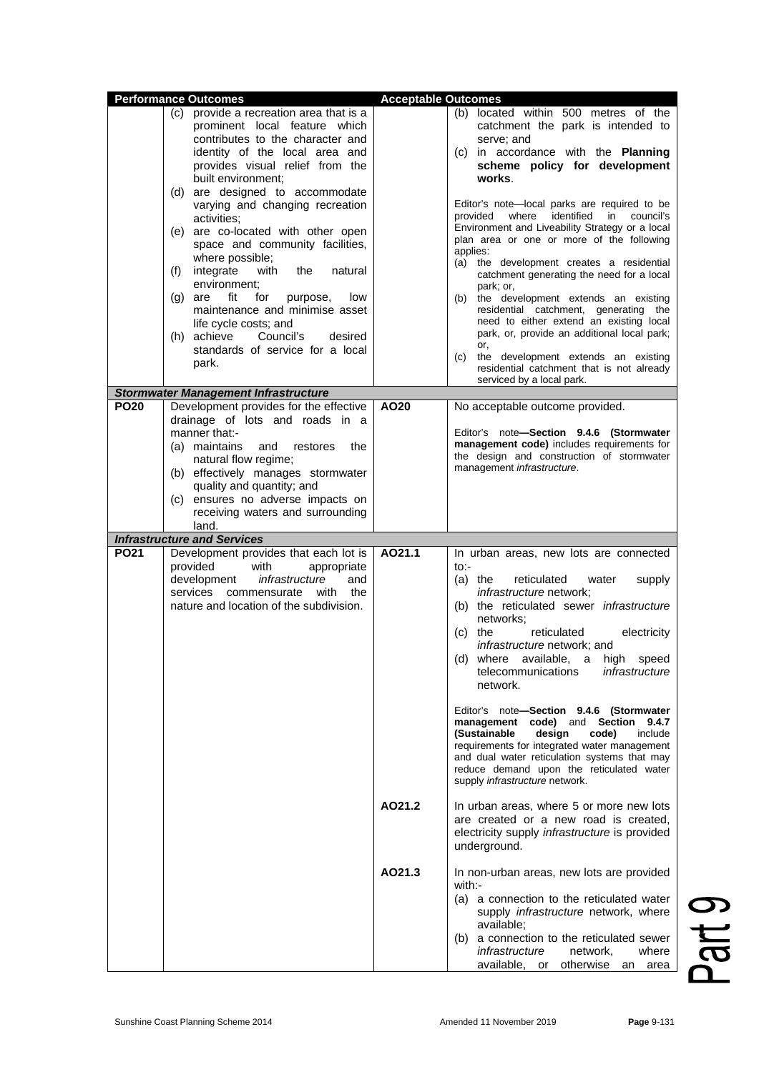|             | <b>Performance Outcomes</b>                                                                                                                                                                                                                                                                                                                                                                                                                                                                                                                                                                                                                         |                            |                                                                                                                                                                                                                                                                                                                                                                                                                                                                                                                                                                                                                                                                                                                                                                                 |
|-------------|-----------------------------------------------------------------------------------------------------------------------------------------------------------------------------------------------------------------------------------------------------------------------------------------------------------------------------------------------------------------------------------------------------------------------------------------------------------------------------------------------------------------------------------------------------------------------------------------------------------------------------------------------------|----------------------------|---------------------------------------------------------------------------------------------------------------------------------------------------------------------------------------------------------------------------------------------------------------------------------------------------------------------------------------------------------------------------------------------------------------------------------------------------------------------------------------------------------------------------------------------------------------------------------------------------------------------------------------------------------------------------------------------------------------------------------------------------------------------------------|
|             | (c) provide a recreation area that is a<br>prominent local feature which<br>contributes to the character and<br>identity of the local area and<br>provides visual relief from the<br>built environment;<br>(d) are designed to accommodate<br>varying and changing recreation<br>activities;<br>(e) are co-located with other open<br>space and community facilities,<br>where possible;<br>integrate<br>with<br>the<br>(f)<br>natural<br>environment;<br>fit<br>for<br>low<br>$(g)$ are<br>purpose,<br>maintenance and minimise asset<br>life cycle costs; and<br>(h) achieve<br>Council's<br>desired<br>standards of service for a local<br>park. | <b>Acceptable Outcomes</b> | (b) located within 500 metres of the<br>catchment the park is intended to<br>serve; and<br>(c) in accordance with the Planning<br>scheme policy for development<br>works.<br>Editor's note-local parks are required to be<br>provided<br>where identified<br>in council's<br>Environment and Liveability Strategy or a local<br>plan area or one or more of the following<br>applies:<br>(a) the development creates a residential<br>catchment generating the need for a local<br>park; or,<br>the development extends an existing<br>(b)<br>residential catchment, generating the<br>need to either extend an existing local<br>park, or, provide an additional local park;<br>or,<br>(c)<br>the development extends an existing<br>residential catchment that is not already |
|             | <b>Stormwater Management Infrastructure</b>                                                                                                                                                                                                                                                                                                                                                                                                                                                                                                                                                                                                         |                            | serviced by a local park.                                                                                                                                                                                                                                                                                                                                                                                                                                                                                                                                                                                                                                                                                                                                                       |
| <b>PO20</b> | Development provides for the effective<br>drainage of lots and roads in a<br>manner that:-<br>(a) maintains<br>and<br>the<br>restores<br>natural flow regime;<br>(b) effectively manages stormwater<br>quality and quantity; and<br>(c) ensures no adverse impacts on<br>receiving waters and surrounding<br>land.                                                                                                                                                                                                                                                                                                                                  | AO20                       | No acceptable outcome provided.<br>Editor's note-Section 9.4.6 (Stormwater<br>management code) includes requirements for<br>the design and construction of stormwater<br>management <i>infrastructure</i> .                                                                                                                                                                                                                                                                                                                                                                                                                                                                                                                                                                     |
|             | <b>Infrastructure and Services</b>                                                                                                                                                                                                                                                                                                                                                                                                                                                                                                                                                                                                                  |                            |                                                                                                                                                                                                                                                                                                                                                                                                                                                                                                                                                                                                                                                                                                                                                                                 |
| <b>PO21</b> | Development provides that each lot is<br>provided<br>with<br>appropriate<br>development<br>infrastructure<br>and<br>services commensurate with the<br>nature and location of the subdivision.                                                                                                                                                                                                                                                                                                                                                                                                                                                       | AO21.1                     | In urban areas, new lots are connected<br>to:-<br>$(a)$ the<br>reticulated<br>water<br>supply<br>infrastructure network;<br>(b) the reticulated sewer infrastructure<br>networks;<br>reticulated<br>electricity<br>(c)<br>the<br><i>infrastructure</i> network; and<br>(d) where available, a high speed<br>telecommunications<br>infrastructure<br>network.                                                                                                                                                                                                                                                                                                                                                                                                                    |
|             |                                                                                                                                                                                                                                                                                                                                                                                                                                                                                                                                                                                                                                                     |                            | Editor's note-Section 9.4.6 (Stormwater<br>management code) and Section<br>9.4.7<br>(Sustainable<br>design<br>code)<br>include<br>requirements for integrated water management<br>and dual water reticulation systems that may<br>reduce demand upon the reticulated water<br>supply infrastructure network.                                                                                                                                                                                                                                                                                                                                                                                                                                                                    |
|             |                                                                                                                                                                                                                                                                                                                                                                                                                                                                                                                                                                                                                                                     | AO21.2                     | In urban areas, where 5 or more new lots<br>are created or a new road is created,<br>electricity supply infrastructure is provided<br>underground.                                                                                                                                                                                                                                                                                                                                                                                                                                                                                                                                                                                                                              |
|             |                                                                                                                                                                                                                                                                                                                                                                                                                                                                                                                                                                                                                                                     | AO21.3                     | In non-urban areas, new lots are provided<br>with:-<br>(a) a connection to the reticulated water<br>supply infrastructure network, where<br>available;<br>(b) a connection to the reticulated sewer<br>infrastructure<br>network,<br>where<br>available, or<br>otherwise an<br>area                                                                                                                                                                                                                                                                                                                                                                                                                                                                                             |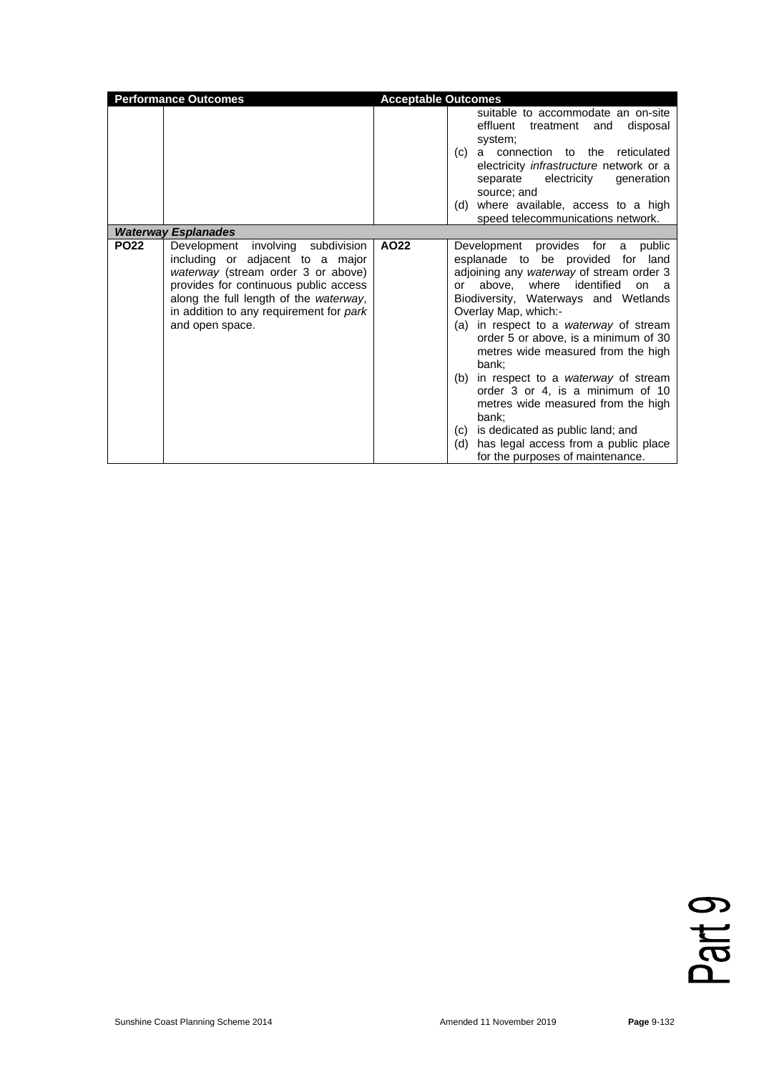|             | <b>Performance Outcomes</b>                                                                                                                                                                                                                                  | <b>Acceptable Outcomes</b> |                                                                                                                                                                                                                                                                                                                                                                                                                                                                                                                                                                                                                                         |
|-------------|--------------------------------------------------------------------------------------------------------------------------------------------------------------------------------------------------------------------------------------------------------------|----------------------------|-----------------------------------------------------------------------------------------------------------------------------------------------------------------------------------------------------------------------------------------------------------------------------------------------------------------------------------------------------------------------------------------------------------------------------------------------------------------------------------------------------------------------------------------------------------------------------------------------------------------------------------------|
|             |                                                                                                                                                                                                                                                              |                            | suitable to accommodate an on-site<br>effluent<br>treatment<br>and<br>disposal<br>system;<br>connection to the<br>reticulated<br>(c)<br>a<br>electricity <i>infrastructure</i> network or a<br>separate electricity<br>generation<br>source; and<br>where available, access to a high<br>(d)<br>speed telecommunications network.                                                                                                                                                                                                                                                                                                       |
|             | <b>Waterway Esplanades</b>                                                                                                                                                                                                                                   |                            |                                                                                                                                                                                                                                                                                                                                                                                                                                                                                                                                                                                                                                         |
| <b>PO22</b> | Development involving subdivision<br>including or adjacent to a major<br>waterway (stream order 3 or above)<br>provides for continuous public access<br>along the full length of the waterway,<br>in addition to any requirement for park<br>and open space. | AO22                       | Development provides for<br>public<br>a<br>esplanade to be provided for land<br>adjoining any waterway of stream order 3<br>above, where identified<br>or<br>on a<br>Biodiversity, Waterways and Wetlands<br>Overlay Map, which:-<br>(a) in respect to a waterway of stream<br>order 5 or above, is a minimum of 30<br>metres wide measured from the high<br>bank:<br>in respect to a <i>waterway</i> of stream<br>(b)<br>order 3 or 4, is a minimum of 10<br>metres wide measured from the high<br>bank;<br>is dedicated as public land; and<br>(c)<br>has legal access from a public place<br>(d)<br>for the purposes of maintenance. |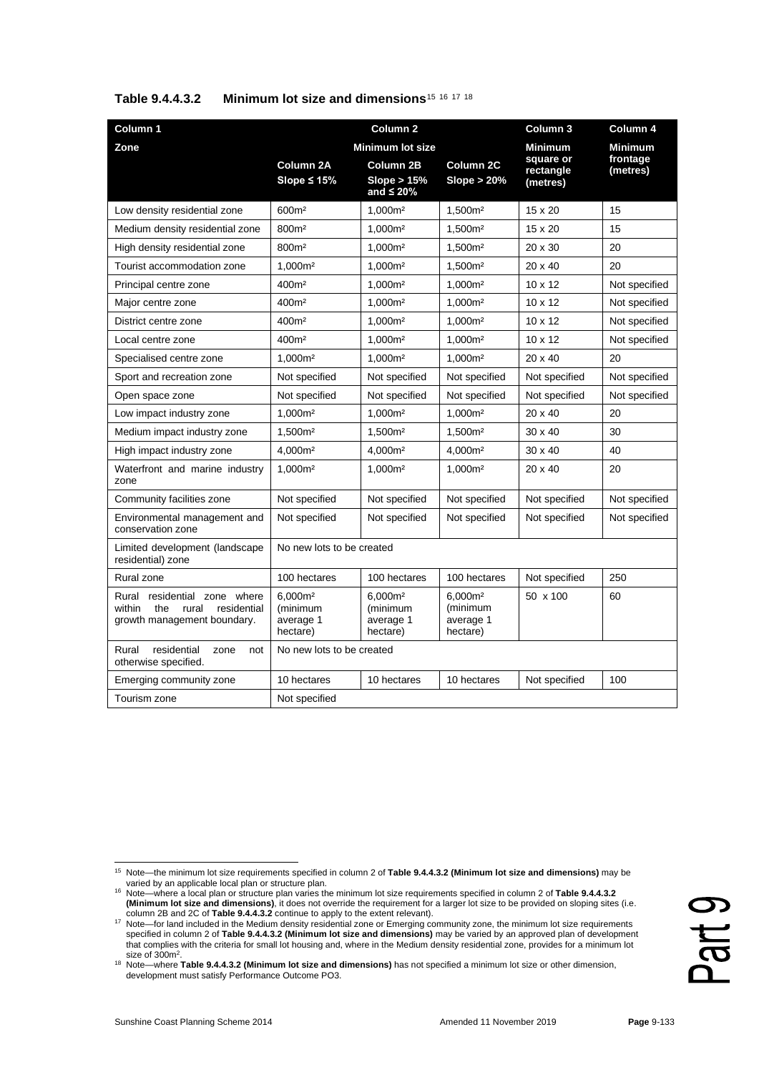| Column 1                                                                                                |                                                          | Column <sub>2</sub>                                      |                                                          | Column 3                           | Column 4             |
|---------------------------------------------------------------------------------------------------------|----------------------------------------------------------|----------------------------------------------------------|----------------------------------------------------------|------------------------------------|----------------------|
| Zone                                                                                                    | <b>Minimum lot size</b>                                  |                                                          |                                                          | <b>Minimum</b>                     | <b>Minimum</b>       |
|                                                                                                         | Column 2A<br>Slope $\leq 15\%$                           | Column 2B<br>Slope $> 15%$<br>and $\leq 20\%$            | Column 2C<br>Slope $> 20\%$                              | square or<br>rectangle<br>(metres) | frontage<br>(metres) |
| Low density residential zone                                                                            | 600m <sup>2</sup>                                        | 1.000m <sup>2</sup>                                      | 1.500m <sup>2</sup>                                      | 15 x 20                            | 15                   |
| Medium density residential zone                                                                         | 800m <sup>2</sup>                                        | 1,000m <sup>2</sup>                                      | 1,500m <sup>2</sup>                                      | 15 x 20                            | 15                   |
| High density residential zone                                                                           | 800m <sup>2</sup>                                        | 1,000m <sup>2</sup>                                      | 1,500m <sup>2</sup>                                      | $20 \times 30$                     | 20                   |
| Tourist accommodation zone                                                                              | 1,000m <sup>2</sup>                                      | 1,000m <sup>2</sup>                                      | 1,500m <sup>2</sup>                                      | $20 \times 40$                     | 20                   |
| Principal centre zone                                                                                   | 400m <sup>2</sup>                                        | 1,000m <sup>2</sup>                                      | 1.000m <sup>2</sup>                                      | $10 \times 12$                     | Not specified        |
| Major centre zone                                                                                       | 400m <sup>2</sup>                                        | 1,000m <sup>2</sup>                                      | 1,000m <sup>2</sup>                                      | $10 \times 12$                     | Not specified        |
| District centre zone                                                                                    | 400m <sup>2</sup>                                        | 1,000m <sup>2</sup>                                      | 1,000m <sup>2</sup>                                      | 10 x 12                            | Not specified        |
| Local centre zone                                                                                       | 400m <sup>2</sup>                                        | 1.000m <sup>2</sup>                                      | 1.000m <sup>2</sup>                                      | $10 \times 12$                     | Not specified        |
| Specialised centre zone                                                                                 | 1,000m <sup>2</sup>                                      | 1,000m <sup>2</sup>                                      | 1,000m <sup>2</sup>                                      | $20 \times 40$                     | 20                   |
| Sport and recreation zone                                                                               | Not specified                                            | Not specified                                            | Not specified                                            | Not specified                      | Not specified        |
| Open space zone                                                                                         | Not specified                                            | Not specified                                            | Not specified                                            | Not specified                      | Not specified        |
| Low impact industry zone                                                                                | 1,000m <sup>2</sup>                                      | 1,000m <sup>2</sup>                                      | 1,000m <sup>2</sup>                                      | $20 \times 40$                     | 20                   |
| Medium impact industry zone                                                                             | 1,500m <sup>2</sup>                                      | 1,500m <sup>2</sup>                                      | 1,500m <sup>2</sup>                                      | $30 \times 40$                     | 30                   |
| High impact industry zone                                                                               | 4,000m <sup>2</sup>                                      | 4,000m <sup>2</sup>                                      | 4,000m <sup>2</sup>                                      | $30 \times 40$                     | 40                   |
| Waterfront and marine industry<br>zone                                                                  | 1.000m <sup>2</sup>                                      | 1.000m <sup>2</sup>                                      | 1.000m <sup>2</sup>                                      | $20 \times 40$                     | 20                   |
| Community facilities zone                                                                               | Not specified                                            | Not specified                                            | Not specified                                            | Not specified                      | Not specified        |
| Environmental management and<br>conservation zone                                                       | Not specified                                            | Not specified                                            | Not specified                                            | Not specified                      | Not specified        |
| Limited development (landscape<br>residential) zone                                                     | No new lots to be created                                |                                                          |                                                          |                                    |                      |
| Rural zone                                                                                              | 100 hectares                                             | 100 hectares                                             | 100 hectares                                             | Not specified                      | 250                  |
| residential zone where<br>Rural<br>within<br>the<br>residential<br>rural<br>growth management boundary. | 6.000m <sup>2</sup><br>(minimum<br>average 1<br>hectare) | 6.000m <sup>2</sup><br>(minimum<br>average 1<br>hectare) | 6,000m <sup>2</sup><br>(minimum<br>average 1<br>hectare) | 50 x 100                           | 60                   |
| residential<br>Rural<br>zone<br>not<br>otherwise specified.                                             | No new lots to be created                                |                                                          |                                                          |                                    |                      |
| Emerging community zone                                                                                 | 10 hectares                                              | 10 hectares                                              | 10 hectares                                              | Not specified                      | 100                  |
| Tourism zone                                                                                            | Not specified                                            |                                                          |                                                          |                                    |                      |

### **Table 9.4.4.3.2 Minimum lot size and dimensions**[15](#page-10-0) [16](#page-10-1) [17](#page-10-2) [18](#page-10-3)

<span id="page-10-0"></span><sup>15</sup> Note—the minimum lot size requirements specified in column 2 of **Table 9.4.4.3.2 (Minimum lot size and dimensions)** may be varied by an applicable local plan or structure plan.

<span id="page-10-1"></span><sup>16</sup> Note—where a local plan or structure plan varies the minimum lot size requirements specified in column 2 of **Table 9.4.4.3.2 (Minimum lot size and dimensions)**, it does not override the requirement for a larger lot size to be provided on sloping sites (i.e. column 2B and 2C of **Table 9.4.4.3.2** continue to apply to the extent relevant).

<span id="page-10-2"></span><sup>&</sup>lt;sup>17</sup> Note—for land included in the Medium density residential zone or Emerging community zone, the minimum lot size requirements specified in column 2 of **Table 9.4.4.3.2 (Minimum lot size and dimensions)** may be varied by an approved plan of development that complies with the criteria for small lot housing and, where in the Medium density residential zone, provides for a minimum lot size of 300m<sup>2</sup>.

<span id="page-10-3"></span><sup>18</sup> Note—where **Table 9.4.4.3.2 (Minimum lot size and dimensions)** has not specified a minimum lot size or other dimension, development must satisfy Performance Outcome PO3.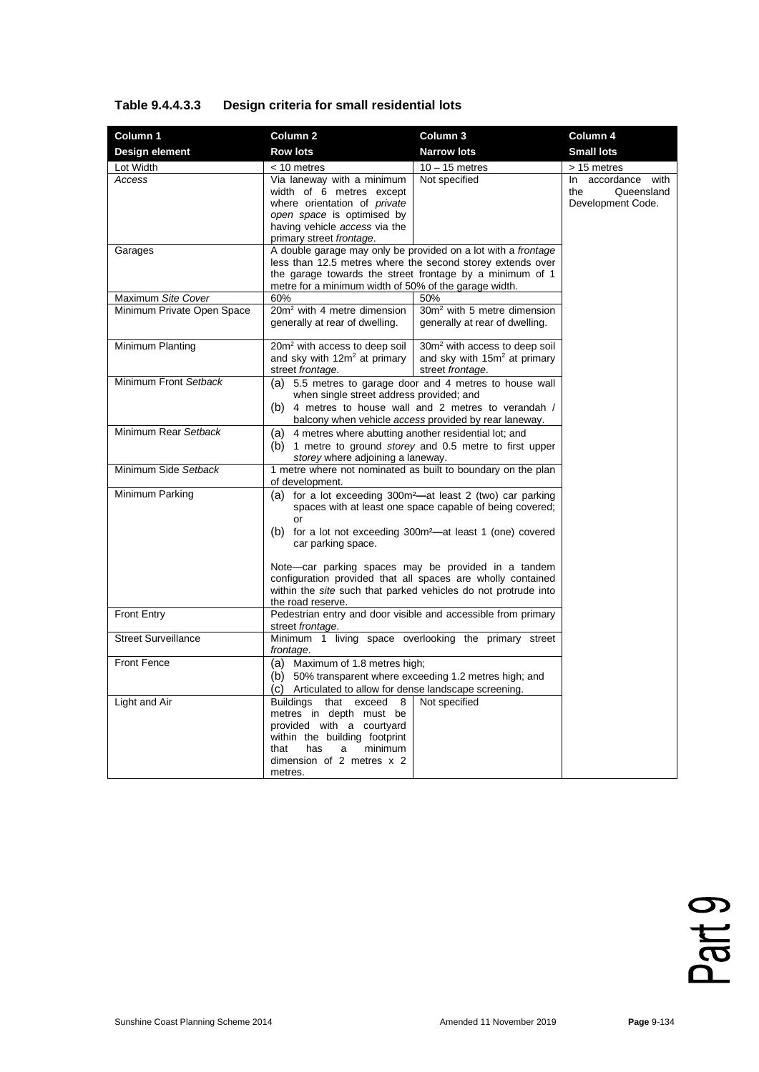## **Table 9.4.4.3.3 Design criteria for small residential lots**

| Column 1                   | Column <sub>2</sub>                                                                                                                                                                                                                                                                                                                                                                                                                                     | Column 3                                                                                                                                                                                | Column 4                                                        |
|----------------------------|---------------------------------------------------------------------------------------------------------------------------------------------------------------------------------------------------------------------------------------------------------------------------------------------------------------------------------------------------------------------------------------------------------------------------------------------------------|-----------------------------------------------------------------------------------------------------------------------------------------------------------------------------------------|-----------------------------------------------------------------|
| Design element             | <b>Row lots</b>                                                                                                                                                                                                                                                                                                                                                                                                                                         | <b>Narrow lots</b>                                                                                                                                                                      | <b>Small lots</b>                                               |
| Lot Width                  | < 10 metres                                                                                                                                                                                                                                                                                                                                                                                                                                             | $10 - 15$ metres                                                                                                                                                                        | > 15 metres                                                     |
| Access                     | Via laneway with a minimum<br>width of 6 metres except<br>where orientation of <i>private</i><br>open space is optimised by<br>having vehicle access via the<br>primary street frontage.                                                                                                                                                                                                                                                                | Not specified                                                                                                                                                                           | In accordance<br>with<br>Queensland<br>the<br>Development Code. |
| Garages                    | metre for a minimum width of 50% of the garage width.                                                                                                                                                                                                                                                                                                                                                                                                   | A double garage may only be provided on a lot with a frontage<br>less than 12.5 metres where the second storey extends over<br>the garage towards the street frontage by a minimum of 1 |                                                                 |
| Maximum Site Cover         | 60%                                                                                                                                                                                                                                                                                                                                                                                                                                                     | 50%                                                                                                                                                                                     |                                                                 |
| Minimum Private Open Space | 20m <sup>2</sup> with 4 metre dimension<br>generally at rear of dwelling.                                                                                                                                                                                                                                                                                                                                                                               | 30m <sup>2</sup> with 5 metre dimension<br>generally at rear of dwelling.                                                                                                               |                                                                 |
| Minimum Planting           | 20m <sup>2</sup> with access to deep soil<br>and sky with $12m^2$ at primary<br>street frontage.                                                                                                                                                                                                                                                                                                                                                        | 30m <sup>2</sup> with access to deep soil<br>and sky with $15m^2$ at primary<br>street frontage.                                                                                        |                                                                 |
| Minimum Front Setback      | when single street address provided; and                                                                                                                                                                                                                                                                                                                                                                                                                | (a) 5.5 metres to garage door and 4 metres to house wall<br>(b) 4 metres to house wall and 2 metres to verandah /<br>balcony when vehicle access provided by rear laneway.              |                                                                 |
| Minimum Rear Setback       | 4 metres where abutting another residential lot; and<br>(a)<br>storey where adjoining a laneway.                                                                                                                                                                                                                                                                                                                                                        | (b) 1 metre to ground <i>storey</i> and 0.5 metre to first upper                                                                                                                        |                                                                 |
| Minimum Side Setback       | 1 metre where not nominated as built to boundary on the plan<br>of development.                                                                                                                                                                                                                                                                                                                                                                         |                                                                                                                                                                                         |                                                                 |
| Minimum Parking            | (a) for a lot exceeding 300m <sup>2</sup> —at least 2 (two) car parking<br>spaces with at least one space capable of being covered;<br>0r<br>(b) for a lot not exceeding 300m <sup>2</sup> —at least 1 (one) covered<br>car parking space.<br>Note-car parking spaces may be provided in a tandem<br>configuration provided that all spaces are wholly contained<br>within the site such that parked vehicles do not protrude into<br>the road reserve. |                                                                                                                                                                                         |                                                                 |
| <b>Front Entry</b>         | Pedestrian entry and door visible and accessible from primary<br>street frontage.                                                                                                                                                                                                                                                                                                                                                                       |                                                                                                                                                                                         |                                                                 |
| <b>Street Surveillance</b> | Minimum 1 living space overlooking the primary street<br>frontage.                                                                                                                                                                                                                                                                                                                                                                                      |                                                                                                                                                                                         |                                                                 |
| <b>Front Fence</b>         | (a) Maximum of 1.8 metres high;<br>(b) 50% transparent where exceeding 1.2 metres high; and<br>(c) Articulated to allow for dense landscape screening.                                                                                                                                                                                                                                                                                                  |                                                                                                                                                                                         |                                                                 |
| Light and Air              | <b>Buildings</b><br>that exceed 8<br>metres in depth must be<br>provided with a courtyard<br>within the building footprint<br>that<br>minimum<br>has<br>a<br>dimension of 2 metres x 2<br>metres.                                                                                                                                                                                                                                                       | Not specified                                                                                                                                                                           |                                                                 |

Part 9